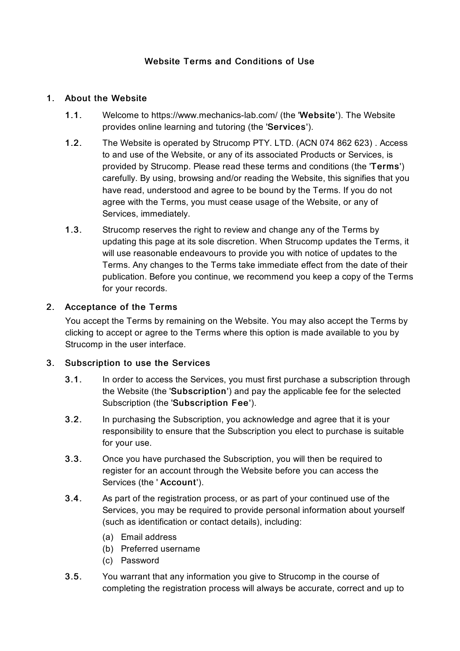# Website Terms and Conditions of Use

### 1. About the Website

- 1.1. Welcome to https://www.mechanics-lab.com/ (the 'Website'). The Website provides online learning and tutoring (the 'Services').
- 1.2. The Website is operated by Strucomp PTY. LTD. (ACN 074 862 623) . Access to and use of the Website, or any of its associated Products or Services, is provided by Strucomp. Please read these terms and conditions (the 'Terms') carefully. By using, browsing and/or reading the Website, this signifies that you have read, understood and agree to be bound by the Terms. If you do not agree with the Terms, you must cease usage of the Website, or any of Services, immediately.
- 1.3. Strucomp reserves the right to review and change any of the Terms by updating this page at its sole discretion. When Strucomp updates the Terms, it will use reasonable endeavours to provide you with notice of updates to the Terms. Any changes to the Terms take immediate effect from the date of their publication. Before you continue, we recommend you keep a copy of the Terms for your records.

### 2. Acceptance of the Terms

You accept the Terms by remaining on the Website. You may also accept the Terms by clicking to accept or agree to the Terms where this option is made available to you by Strucomp in the user interface.

#### 3. Subscription to use the Services

- 3.1. In order to access the Services, you must first purchase a subscription through the Website (the 'Subscription') and pay the applicable fee for the selected Subscription (the 'Subscription Fee').
- 3.2. In purchasing the Subscription, you acknowledge and agree that it is your responsibility to ensure that the Subscription you elect to purchase is suitable for your use.
- 3.3. Once you have purchased the Subscription, you will then be required to register for an account through the Website before you can access the Services (the ' Account').
- 3.4. As part of the registration process, or as part of your continued use of the Services, you may be required to provide personal information about yourself (such as identification or contact details), including:
	- (a) Email address
	- (b) Preferred username
	- (c) Password
- 3.5. You warrant that any information you give to Strucomp in the course of completing the registration process will always be accurate, correct and up to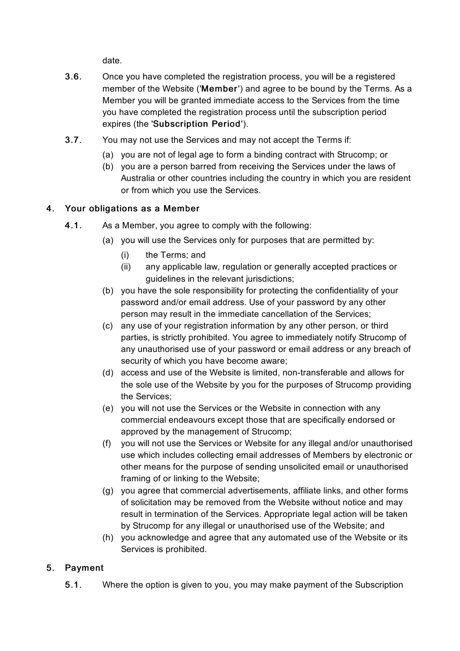date.

- 3.6. Once you have completed the registration process, you will be a registered member of the Website ('Member') and agree to be bound by the Terms. As a Member you will be granted immediate access to the Services from the time you have completed the registration process until the subscription period expires (the 'Subscription Period').
- 3.7. You may not use the Services and may not accept the Terms if:
	- (a) you are not of legal age to form a binding contract with Strucomp; or
	- (b) you are a person barred from receiving the Services under the laws of Australia or other countries including the country in which you are resident or from which you use the Services.

### 4. Your obligations as a Member

- 4.1. As a Member, you agree to comply with the following:
	- (a) you will use the Services only for purposes that are permitted by:
		- (i) the Terms; and
		- (ii) any applicable law, regulation or generally accepted practices or guidelines in the relevant jurisdictions;
	- (b) you have the sole responsibility for protecting the confidentiality of your password and/or email address. Use of your password by any other person may result in the immediate cancellation of the Services;
	- (c) any use of your registration information by any other person, or third parties, is strictly prohibited. You agree to immediately notify Strucomp of any unauthorised use of your password or email address or any breach of security of which you have become aware;
	- (d) access and use of the Website is limited, non-transferable and allows for the sole use of the Website by you for the purposes of Strucomp providing the Services;
	- (e) you will not use the Services or the Website in connection with any commercial endeavours except those that are specifically endorsed or approved by the management of Strucomp;
	- (f) you will not use the Services or Website for any illegal and/or unauthorised use which includes collecting email addresses of Members by electronic or other means for the purpose of sending unsolicited email or unauthorised framing of or linking to the Website;
	- (g) you agree that commercial advertisements, affiliate links, and other forms of solicitation may be removed from the Website without notice and may result in termination of the Services. Appropriate legal action will be taken by Strucomp for any illegal or unauthorised use of the Website; and
	- (h) you acknowledge and agree that any automated use of the Website or its Services is prohibited.

# 5. Payment

5.1. Where the option is given to you, you may make payment of the Subscription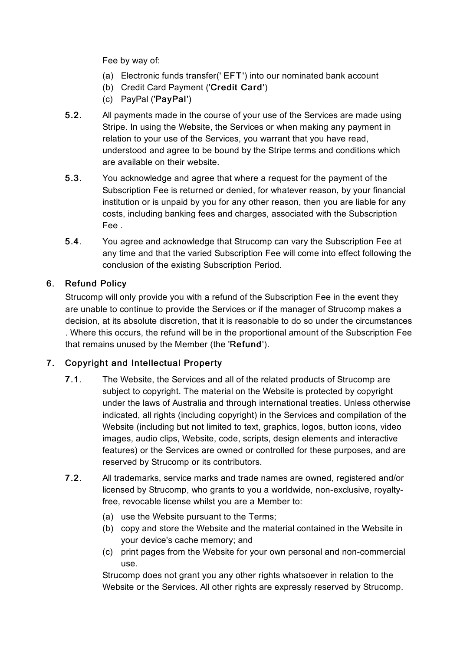Fee by way of:

- (a) Electronic funds transfer(' EFT') into our nominated bank account
- (b) Credit Card Payment ('Credit Card')
- (c) PayPal ('PayPal')
- 5.2. All payments made in the course of your use of the Services are made using Stripe. In using the Website, the Services or when making any payment in relation to your use of the Services, you warrant that you have read, understood and agree to be bound by the Stripe terms and conditions which are available on their website.
- 5.3. You acknowledge and agree that where a request for the payment of the Subscription Fee is returned or denied, for whatever reason, by your financial institution or is unpaid by you for any other reason, then you are liable for any costs, including banking fees and charges, associated with the Subscription Fee .
- 5.4. You agree and acknowledge that Strucomp can vary the Subscription Fee at any time and that the varied Subscription Fee will come into effect following the conclusion of the existing Subscription Period.

# 6. Refund Policy

Strucomp will only provide you with a refund of the Subscription Fee in the event they are unable to continue to provide the Services or if the manager of Strucomp makes a decision, at its absolute discretion, that it is reasonable to do so under the circumstances . Where this occurs, the refund will be in the proportional amount of the Subscription Fee that remains unused by the Member (the 'Refund').

# 7. Copyright and Intellectual Property

- 7.1. The Website, the Services and all of the related products of Strucomp are subject to copyright. The material on the Website is protected by copyright under the laws of Australia and through international treaties. Unless otherwise indicated, all rights (including copyright) in the Services and compilation of the Website (including but not limited to text, graphics, logos, button icons, video images, audio clips, Website, code, scripts, design elements and interactive features) or the Services are owned or controlled for these purposes, and are reserved by Strucomp or its contributors.
- 7.2. All trademarks, service marks and trade names are owned, registered and/or licensed by Strucomp, who grants to you a worldwide, non-exclusive, royaltyfree, revocable license whilst you are a Member to:
	- (a) use the Website pursuant to the Terms;
	- (b) copy and store the Website and the material contained in the Website in your device's cache memory; and
	- (c) print pages from the Website for your own personal and non-commercial use.

Strucomp does not grant you any other rights whatsoever in relation to the Website or the Services. All other rights are expressly reserved by Strucomp.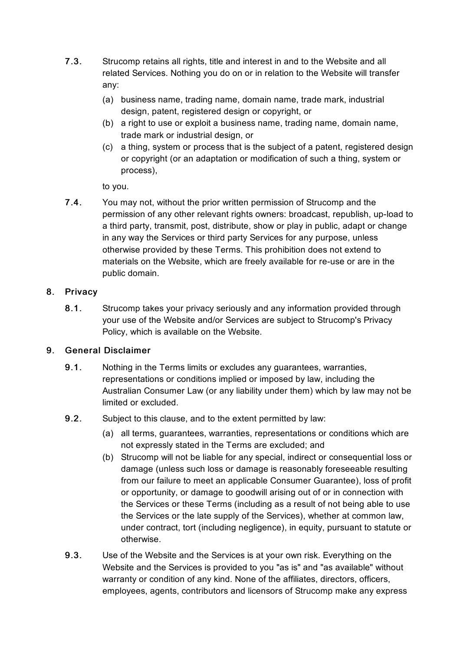- 7.3. Strucomp retains all rights, title and interest in and to the Website and all related Services. Nothing you do on or in relation to the Website will transfer any:
	- (a) business name, trading name, domain name, trade mark, industrial design, patent, registered design or copyright, or
	- (b) a right to use or exploit a business name, trading name, domain name, trade mark or industrial design, or
	- (c) a thing, system or process that is the subject of a patent, registered design or copyright (or an adaptation or modification of such a thing, system or process),

to you.

7.4. You may not, without the prior written permission of Strucomp and the permission of any other relevant rights owners: broadcast, republish, up-load to a third party, transmit, post, distribute, show or play in public, adapt or change in any way the Services or third party Services for any purpose, unless otherwise provided by these Terms. This prohibition does not extend to materials on the Website, which are freely available for re-use or are in the public domain.

### 8. Privacy

8.1. Strucomp takes your privacy seriously and any information provided through your use of the Website and/or Services are subject to Strucomp's Privacy Policy, which is available on the Website.

# 9. General Disclaimer

- 9.1. Nothing in the Terms limits or excludes any guarantees, warranties, representations or conditions implied or imposed by law, including the Australian Consumer Law (or any liability under them) which by law may not be limited or excluded.
- 9.2. Subject to this clause, and to the extent permitted by law:
	- (a) all terms, guarantees, warranties, representations or conditions which are not expressly stated in the Terms are excluded; and
	- (b) Strucomp will not be liable for any special, indirect or consequential loss or damage (unless such loss or damage is reasonably foreseeable resulting from our failure to meet an applicable Consumer Guarantee), loss of profit or opportunity, or damage to goodwill arising out of or in connection with the Services or these Terms (including as a result of not being able to use the Services or the late supply of the Services), whether at common law, under contract, tort (including negligence), in equity, pursuant to statute or otherwise.
- 9.3. Use of the Website and the Services is at your own risk. Everything on the Website and the Services is provided to you "as is" and "as available" without warranty or condition of any kind. None of the affiliates, directors, officers, employees, agents, contributors and licensors of Strucomp make any express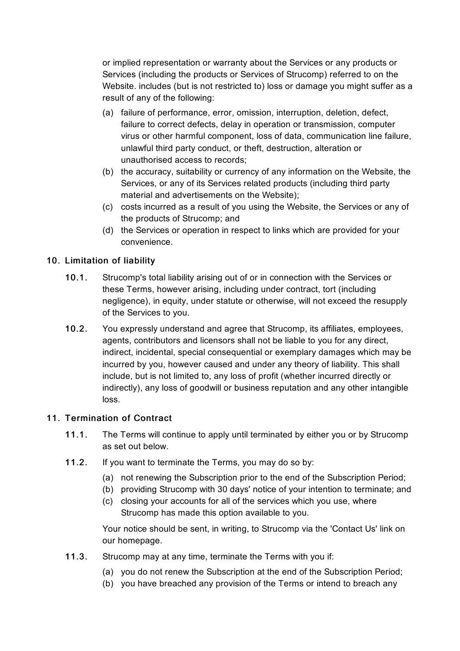or implied representation or warranty about the Services or any products or Services (including the products or Services of Strucomp) referred to on the Website. includes (but is not restricted to) loss or damage you might suffer as a result of any of the following:

- (a) failure of performance, error, omission, interruption, deletion, defect, failure to correct defects, delay in operation or transmission, computer virus or other harmful component, loss of data, communication line failure, unlawful third party conduct, or theft, destruction, alteration or unauthorised access to records;
- (b) the accuracy, suitability or currency of any information on the Website, the Services, or any of its Services related products (including third party material and advertisements on the Website);
- (c) costs incurred as a result of you using the Website, the Services or any of the products of Strucomp; and
- (d) the Services or operation in respect to links which are provided for your convenience.

# 10. Limitation of liability

- 10.1. Strucomp's total liability arising out of or in connection with the Services or these Terms, however arising, including under contract, tort (including negligence), in equity, under statute or otherwise, will not exceed the resupply of the Services to you.
- 10.2. You expressly understand and agree that Strucomp, its affiliates, employees, agents, contributors and licensors shall not be liable to you for any direct, indirect, incidental, special consequential or exemplary damages which may be incurred by you, however caused and under any theory of liability. This shall include, but is not limited to, any loss of profit (whether incurred directly or indirectly), any loss of goodwill or business reputation and any other intangible loss.

#### 11. Termination of Contract

- 11.1. The Terms will continue to apply until terminated by either you or by Strucomp as set out below.
- 11.2. If you want to terminate the Terms, you may do so by:
	- (a) not renewing the Subscription prior to the end of the Subscription Period;
	- (b) providing Strucomp with 30 days' notice of your intention to terminate; and
	- (c) closing your accounts for all of the services which you use, where Strucomp has made this option available to you.

Your notice should be sent, in writing, to Strucomp via the 'Contact Us' link on our homepage.

- 11.3. Strucomp may at any time, terminate the Terms with you if:
	- (a) you do not renew the Subscription at the end of the Subscription Period;
	- (b) you have breached any provision of the Terms or intend to breach any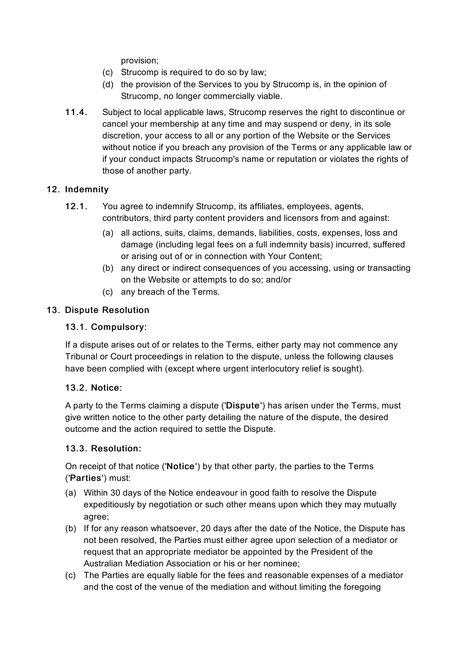provision;

- (c) Strucomp is required to do so by law;
- (d) the provision of the Services to you by Strucomp is, in the opinion of Strucomp, no longer commercially viable.
- 11.4. Subject to local applicable laws, Strucomp reserves the right to discontinue or cancel your membership at any time and may suspend or deny, in its sole discretion, your access to all or any portion of the Website or the Services without notice if you breach any provision of the Terms or any applicable law or if your conduct impacts Strucomp's name or reputation or violates the rights of those of another party.

# 12. Indemnity

- 12.1. You agree to indemnify Strucomp, its affiliates, employees, agents, contributors, third party content providers and licensors from and against:
	- (a) all actions, suits, claims, demands, liabilities, costs, expenses, loss and damage (including legal fees on a full indemnity basis) incurred, suffered or arising out of or in connection with Your Content;
	- (b) any direct or indirect consequences of you accessing, using or transacting on the Website or attempts to do so; and/or
	- (c) any breach of the Terms.

### 13. Dispute Resolution

#### 13.1. Compulsory:

If a dispute arises out of or relates to the Terms, either party may not commence any Tribunal or Court proceedings in relation to the dispute, unless the following clauses have been complied with (except where urgent interlocutory relief is sought).

#### 13.2. Notice:

A party to the Terms claiming a dispute ('Dispute') has arisen under the Terms, must give written notice to the other party detailing the nature of the dispute, the desired outcome and the action required to settle the Dispute.

# 13.3. Resolution:

On receipt of that notice ('Notice') by that other party, the parties to the Terms ('Parties') must:

- (a) Within 30 days of the Notice endeavour in good faith to resolve the Dispute expeditiously by negotiation or such other means upon which they may mutually agree;
- (b) If for any reason whatsoever, 20 days after the date of the Notice, the Dispute has not been resolved, the Parties must either agree upon selection of a mediator or request that an appropriate mediator be appointed by the President of the Australian Mediation Association or his or her nominee;
- (c) The Parties are equally liable for the fees and reasonable expenses of a mediator and the cost of the venue of the mediation and without limiting the foregoing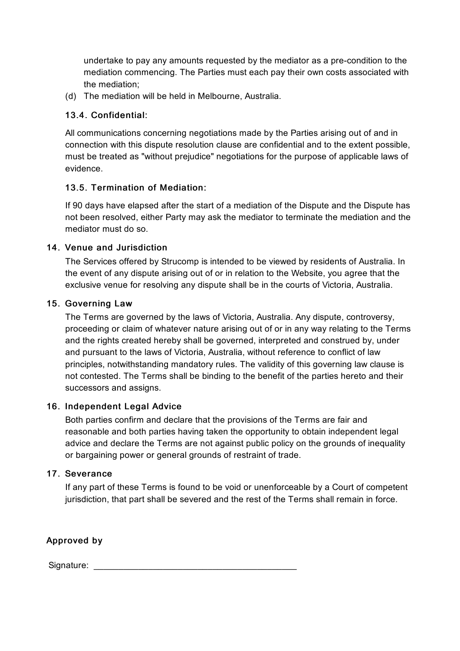undertake to pay any amounts requested by the mediator as a pre-condition to the mediation commencing. The Parties must each pay their own costs associated with the mediation;

(d) The mediation will be held in Melbourne, Australia.

### 13.4. Confidential:

All communications concerning negotiations made by the Parties arising out of and in connection with this dispute resolution clause are confidential and to the extent possible, must be treated as "without prejudice" negotiations for the purpose of applicable laws of evidence.

### 13.5. Termination of Mediation:

If 90 days have elapsed after the start of a mediation of the Dispute and the Dispute has not been resolved, either Party may ask the mediator to terminate the mediation and the mediator must do so.

### 14. Venue and Jurisdiction

The Services offered by Strucomp is intended to be viewed by residents of Australia. In the event of any dispute arising out of or in relation to the Website, you agree that the exclusive venue for resolving any dispute shall be in the courts of Victoria, Australia.

### 15. Governing Law

The Terms are governed by the laws of Victoria, Australia. Any dispute, controversy, proceeding or claim of whatever nature arising out of or in any way relating to the Terms and the rights created hereby shall be governed, interpreted and construed by, under and pursuant to the laws of Victoria, Australia, without reference to conflict of law principles, notwithstanding mandatory rules. The validity of this governing law clause is not contested. The Terms shall be binding to the benefit of the parties hereto and their successors and assigns.

#### 16. Independent Legal Advice

Both parties confirm and declare that the provisions of the Terms are fair and reasonable and both parties having taken the opportunity to obtain independent legal advice and declare the Terms are not against public policy on the grounds of inequality or bargaining power or general grounds of restraint of trade.

#### 17. Severance

If any part of these Terms is found to be void or unenforceable by a Court of competent jurisdiction, that part shall be severed and the rest of the Terms shall remain in force.

Approved by

Signature: \_\_\_\_\_\_\_\_\_\_\_\_\_\_\_\_\_\_\_\_\_\_\_\_\_\_\_\_\_\_\_\_\_\_\_\_\_\_\_\_\_